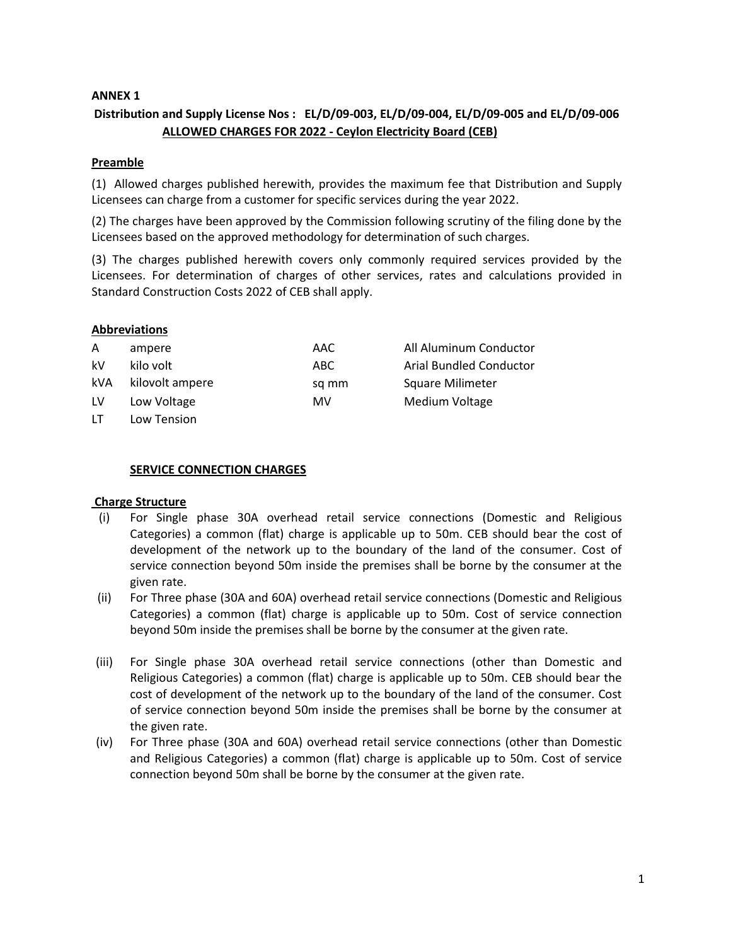## **ANNEX 1**

## **Distribution and Supply License Nos : EL/D/09-003, EL/D/09-004, EL/D/09-005 and EL/D/09-006 ALLOWED CHARGES FOR 2022 - Ceylon Electricity Board (CEB)**

#### **Preamble**

(1) Allowed charges published herewith, provides the maximum fee that Distribution and Supply Licensees can charge from a customer for specific services during the year 2022.

(2) The charges have been approved by the Commission following scrutiny of the filing done by the Licensees based on the approved methodology for determination of such charges.

(3) The charges published herewith covers only commonly required services provided by the Licensees. For determination of charges of other services, rates and calculations provided in Standard Construction Costs 2022 of CEB shall apply.

#### **Abbreviations**

| A   | ampere          | AAC   | All Aluminum Conductor  |
|-----|-----------------|-------|-------------------------|
| kV  | kilo volt       | ABC.  | Arial Bundled Conductor |
| kVA | kilovolt ampere | sq mm | <b>Square Milimeter</b> |
| LV  | Low Voltage     | MV    | Medium Voltage          |
| LT. | Low Tension     |       |                         |

#### **SERVICE CONNECTION CHARGES**

#### **Charge Structure**

- (i) For Single phase 30A overhead retail service connections (Domestic and Religious Categories) a common (flat) charge is applicable up to 50m. CEB should bear the cost of development of the network up to the boundary of the land of the consumer. Cost of service connection beyond 50m inside the premises shall be borne by the consumer at the given rate.
- (ii) For Three phase (30A and 60A) overhead retail service connections (Domestic and Religious Categories) a common (flat) charge is applicable up to 50m. Cost of service connection beyond 50m inside the premises shall be borne by the consumer at the given rate.
- (iii) For Single phase 30A overhead retail service connections (other than Domestic and Religious Categories) a common (flat) charge is applicable up to 50m. CEB should bear the cost of development of the network up to the boundary of the land of the consumer. Cost of service connection beyond 50m inside the premises shall be borne by the consumer at the given rate.
- (iv) For Three phase (30A and 60A) overhead retail service connections (other than Domestic and Religious Categories) a common (flat) charge is applicable up to 50m. Cost of service connection beyond 50m shall be borne by the consumer at the given rate.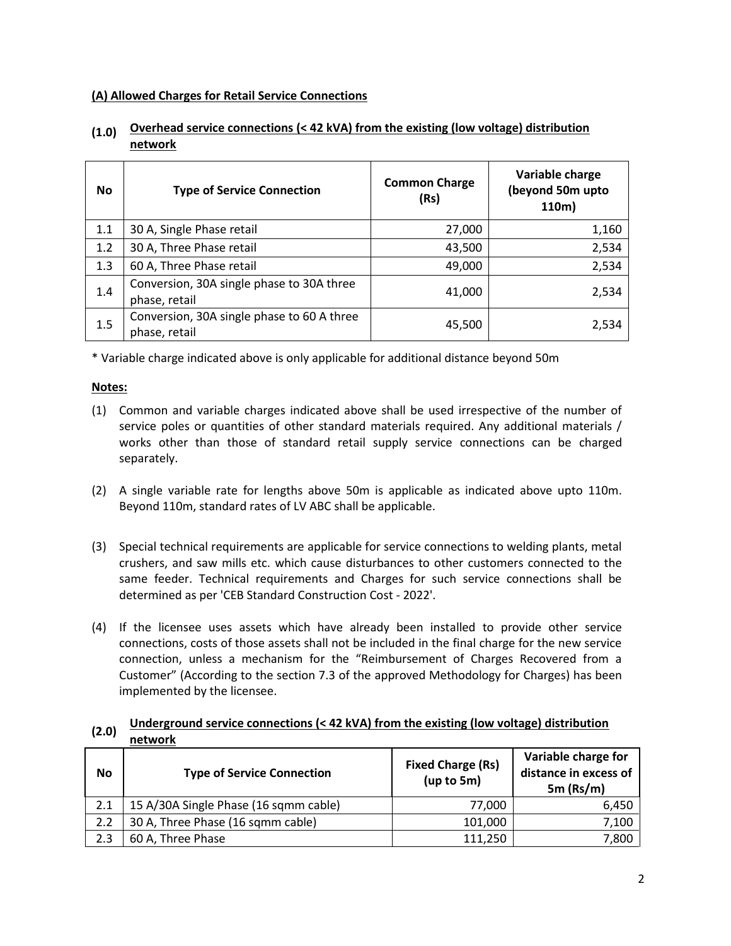## **(A) Allowed Charges for Retail Service Connections**

| <b>No</b> | <b>Type of Service Connection</b>                           | <b>Common Charge</b><br>(Rs) | Variable charge<br>(beyond 50m upto<br>110m) |
|-----------|-------------------------------------------------------------|------------------------------|----------------------------------------------|
| 1.1       | 30 A, Single Phase retail                                   | 27,000                       | 1,160                                        |
| 1.2       | 30 A, Three Phase retail                                    | 43,500                       | 2,534                                        |
| 1.3       | 60 A, Three Phase retail                                    | 49,000                       | 2,534                                        |
| 1.4       | Conversion, 30A single phase to 30A three<br>phase, retail  | 41,000                       | 2,534                                        |
| 1.5       | Conversion, 30A single phase to 60 A three<br>phase, retail | 45,500                       | 2,534                                        |

## **(1.0) Overhead service connections (< 42 kVA) from the existing (low voltage) distribution network**

\* Variable charge indicated above is only applicable for additional distance beyond 50m

## **Notes:**

- (1) Common and variable charges indicated above shall be used irrespective of the number of service poles or quantities of other standard materials required. Any additional materials / works other than those of standard retail supply service connections can be charged separately.
- (2) A single variable rate for lengths above 50m is applicable as indicated above upto 110m. Beyond 110m, standard rates of LV ABC shall be applicable.
- (3) Special technical requirements are applicable for service connections to welding plants, metal crushers, and saw mills etc. which cause disturbances to other customers connected to the same feeder. Technical requirements and Charges for such service connections shall be determined as per 'CEB Standard Construction Cost - 2022'.
- (4) If the licensee uses assets which have already been installed to provide other service connections, costs of those assets shall not be included in the final charge for the new service connection, unless a mechanism for the "Reimbursement of Charges Recovered from a Customer" (According to the section 7.3 of the approved Methodology for Charges) has been implemented by the licensee.

## **(2.0) Underground service connections (< 42 kVA) from the existing (low voltage) distribution network**

| No  | <b>Type of Service Connection</b>     | <b>Fixed Charge (Rs)</b><br>(up to 5m) | Variable charge for<br>distance in excess of<br>$5m$ (Rs/m) |
|-----|---------------------------------------|----------------------------------------|-------------------------------------------------------------|
| 2.1 | 15 A/30A Single Phase (16 sqmm cable) | 77.000                                 | 6.450                                                       |
| 2.2 | 30 A, Three Phase (16 sqmm cable)     | 101,000                                | 7,100                                                       |
| 2.3 | 60 A, Three Phase                     | 111.250                                | 7.800                                                       |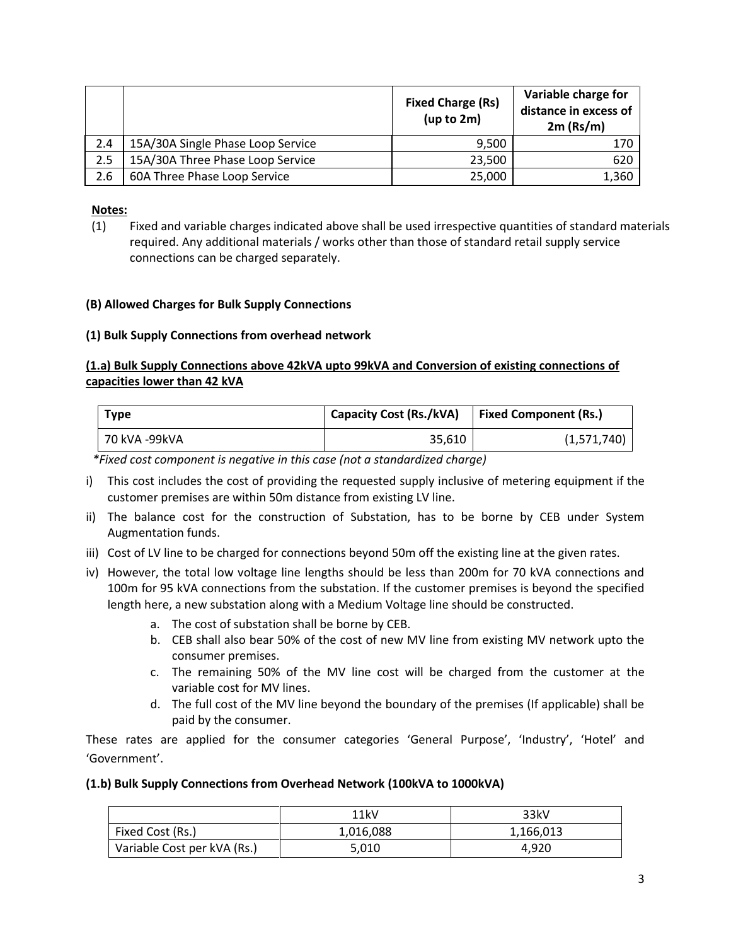|     |                                   | <b>Fixed Charge (Rs)</b><br>(up to 2m) | Variable charge for<br>distance in excess of<br>$2m$ (Rs/m) |
|-----|-----------------------------------|----------------------------------------|-------------------------------------------------------------|
| 2.4 | 15A/30A Single Phase Loop Service | 9,500                                  | 170                                                         |
| 2.5 | 15A/30A Three Phase Loop Service  | 23,500                                 | 620                                                         |
| 2.6 | 60A Three Phase Loop Service      | 25,000                                 | 1,360                                                       |

## **Notes:**

(1) Fixed and variable charges indicated above shall be used irrespective quantities of standard materials required. Any additional materials / works other than those of standard retail supply service connections can be charged separately.

## **(B) Allowed Charges for Bulk Supply Connections**

#### **(1) Bulk Supply Connections from overhead network**

## **(1.a) Bulk Supply Connections above 42kVA upto 99kVA and Conversion of existing connections of capacities lower than 42 kVA**

| <b>Type</b>   | <b>Capacity Cost (Rs./kVA)</b> | <b>Fixed Component (Rs.)</b> |
|---------------|--------------------------------|------------------------------|
| 70 kVA -99kVA | 35.610                         | (1,571,740)                  |

*\*Fixed cost component is negative in this case (not a standardized charge)*

- i) This cost includes the cost of providing the requested supply inclusive of metering equipment if the customer premises are within 50m distance from existing LV line.
- ii) The balance cost for the construction of Substation, has to be borne by CEB under System Augmentation funds.
- iii) Cost of LV line to be charged for connections beyond 50m off the existing line at the given rates.
- iv) However, the total low voltage line lengths should be less than 200m for 70 kVA connections and 100m for 95 kVA connections from the substation. If the customer premises is beyond the specified length here, a new substation along with a Medium Voltage line should be constructed.
	- a. The cost of substation shall be borne by CEB.
	- b. CEB shall also bear 50% of the cost of new MV line from existing MV network upto the consumer premises.
	- c. The remaining 50% of the MV line cost will be charged from the customer at the variable cost for MV lines.
	- d. The full cost of the MV line beyond the boundary of the premises (If applicable) shall be paid by the consumer.

These rates are applied for the consumer categories 'General Purpose', 'Industry', 'Hotel' and 'Government'.

#### **(1.b) Bulk Supply Connections from Overhead Network (100kVA to 1000kVA)**

|                             | 11kV      | 33kV      |
|-----------------------------|-----------|-----------|
| Fixed Cost (Rs.)            | 1,016,088 | 1,166,013 |
| Variable Cost per kVA (Rs.) | 5,010     | 4.920     |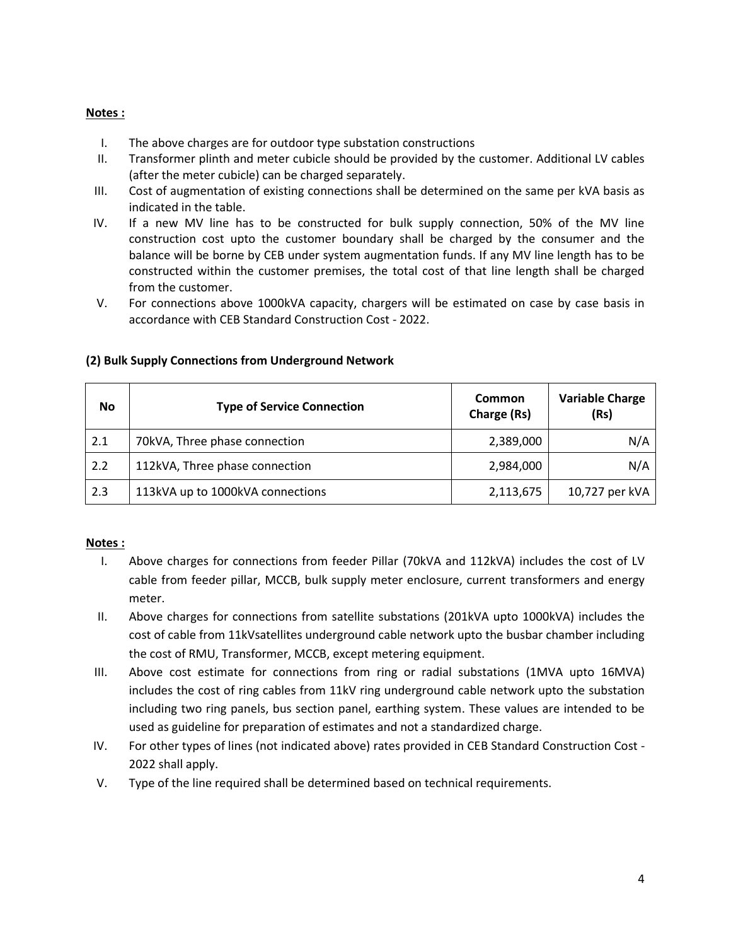## **Notes :**

- I. The above charges are for outdoor type substation constructions
- II. Transformer plinth and meter cubicle should be provided by the customer. Additional LV cables (after the meter cubicle) can be charged separately.
- III. Cost of augmentation of existing connections shall be determined on the same per kVA basis as indicated in the table.
- IV. If a new MV line has to be constructed for bulk supply connection, 50% of the MV line construction cost upto the customer boundary shall be charged by the consumer and the balance will be borne by CEB under system augmentation funds. If any MV line length has to be constructed within the customer premises, the total cost of that line length shall be charged from the customer.
- V. For connections above 1000kVA capacity, chargers will be estimated on case by case basis in accordance with CEB Standard Construction Cost - 2022.

| No  | <b>Type of Service Connection</b> | <b>Common</b><br>Charge (Rs) | <b>Variable Charge</b><br>(Rs) |
|-----|-----------------------------------|------------------------------|--------------------------------|
| 2.1 | 70kVA, Three phase connection     | 2,389,000                    | N/A                            |
| 2.2 | 112kVA, Three phase connection    | 2,984,000                    | N/A                            |
| 2.3 | 113kVA up to 1000kVA connections  | 2,113,675                    | 10,727 per kVA                 |

## **(2) Bulk Supply Connections from Underground Network**

#### **Notes :**

- I. Above charges for connections from feeder Pillar (70kVA and 112kVA) includes the cost of LV cable from feeder pillar, MCCB, bulk supply meter enclosure, current transformers and energy meter.
- II. Above charges for connections from satellite substations (201kVA upto 1000kVA) includes the cost of cable from 11kVsatellites underground cable network upto the busbar chamber including the cost of RMU, Transformer, MCCB, except metering equipment.
- III. Above cost estimate for connections from ring or radial substations (1MVA upto 16MVA) includes the cost of ring cables from 11kV ring underground cable network upto the substation including two ring panels, bus section panel, earthing system. These values are intended to be used as guideline for preparation of estimates and not a standardized charge.
- IV. For other types of lines (not indicated above) rates provided in CEB Standard Construction Cost 2022 shall apply.
- V. Type of the line required shall be determined based on technical requirements.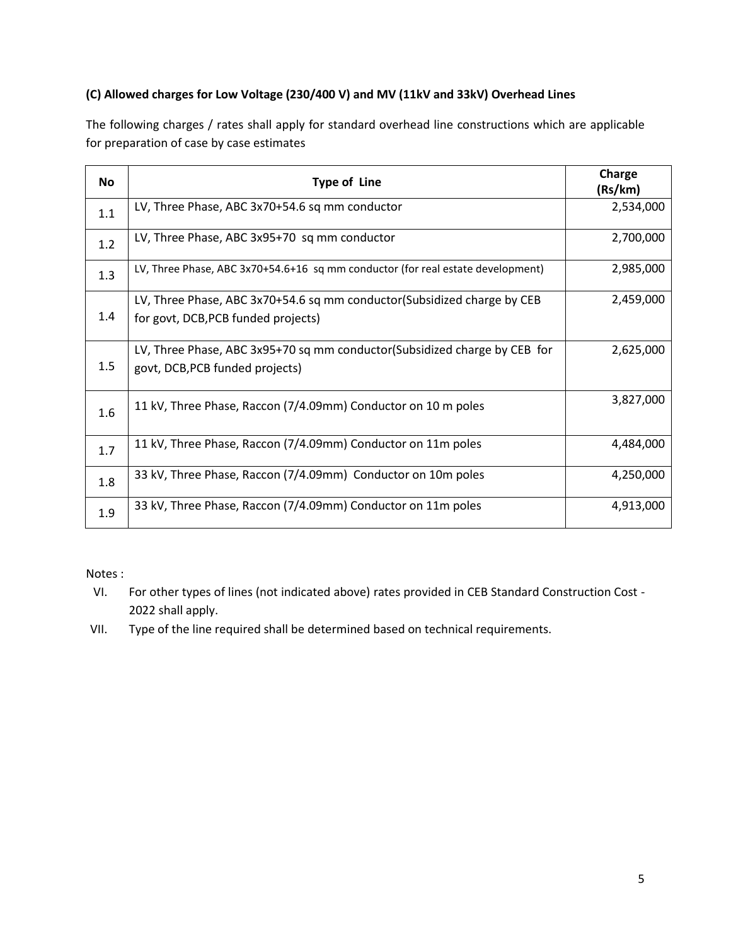## **(C) Allowed charges for Low Voltage (230/400 V) and MV (11kV and 33kV) Overhead Lines**

The following charges / rates shall apply for standard overhead line constructions which are applicable for preparation of case by case estimates

| <b>No</b> | <b>Type of Line</b>                                                                                            | Charge<br>(Rs/km) |
|-----------|----------------------------------------------------------------------------------------------------------------|-------------------|
| 1.1       | LV, Three Phase, ABC 3x70+54.6 sq mm conductor                                                                 | 2,534,000         |
| 1.2       | LV, Three Phase, ABC 3x95+70 sq mm conductor                                                                   | 2,700,000         |
| 1.3       | LV, Three Phase, ABC 3x70+54.6+16 sq mm conductor (for real estate development)                                | 2,985,000         |
| 1.4       | LV, Three Phase, ABC 3x70+54.6 sq mm conductor(Subsidized charge by CEB<br>for govt, DCB, PCB funded projects) | 2,459,000         |
| 1.5       | LV, Three Phase, ABC 3x95+70 sq mm conductor(Subsidized charge by CEB for<br>govt, DCB, PCB funded projects)   | 2,625,000         |
| 1.6       | 11 kV, Three Phase, Raccon (7/4.09mm) Conductor on 10 m poles                                                  | 3,827,000         |
| 1.7       | 11 kV, Three Phase, Raccon (7/4.09mm) Conductor on 11m poles                                                   | 4,484,000         |
| 1.8       | 33 kV, Three Phase, Raccon (7/4.09mm) Conductor on 10m poles                                                   | 4,250,000         |
| 1.9       | 33 kV, Three Phase, Raccon (7/4.09mm) Conductor on 11m poles                                                   | 4,913,000         |

Notes :

- VI. For other types of lines (not indicated above) rates provided in CEB Standard Construction Cost 2022 shall apply.
- VII. Type of the line required shall be determined based on technical requirements.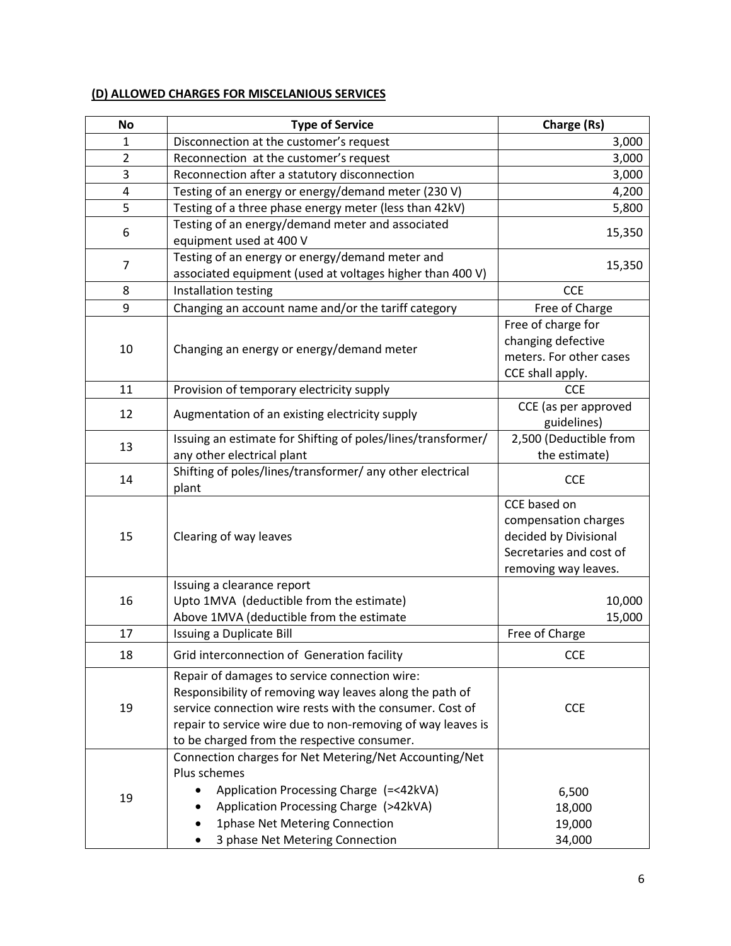# **(D) ALLOWED CHARGES FOR MISCELANIOUS SERVICES**

| <b>No</b>      | <b>Type of Service</b>                                                                                                                                                                                                                                                             | Charge (Rs)                                                                                                      |
|----------------|------------------------------------------------------------------------------------------------------------------------------------------------------------------------------------------------------------------------------------------------------------------------------------|------------------------------------------------------------------------------------------------------------------|
| 1              | Disconnection at the customer's request                                                                                                                                                                                                                                            | 3,000                                                                                                            |
| $\overline{2}$ | Reconnection at the customer's request                                                                                                                                                                                                                                             | 3,000                                                                                                            |
| 3              | Reconnection after a statutory disconnection                                                                                                                                                                                                                                       | 3,000                                                                                                            |
| 4              | Testing of an energy or energy/demand meter (230 V)                                                                                                                                                                                                                                | 4,200                                                                                                            |
| 5              | Testing of a three phase energy meter (less than 42kV)                                                                                                                                                                                                                             | 5,800                                                                                                            |
| 6              | Testing of an energy/demand meter and associated<br>equipment used at 400 V                                                                                                                                                                                                        | 15,350                                                                                                           |
| $\overline{7}$ | Testing of an energy or energy/demand meter and<br>associated equipment (used at voltages higher than 400 V)                                                                                                                                                                       | 15,350                                                                                                           |
| 8              | Installation testing                                                                                                                                                                                                                                                               | <b>CCE</b>                                                                                                       |
| 9              | Changing an account name and/or the tariff category                                                                                                                                                                                                                                | Free of Charge                                                                                                   |
| 10             | Changing an energy or energy/demand meter                                                                                                                                                                                                                                          | Free of charge for<br>changing defective<br>meters. For other cases<br>CCE shall apply.                          |
| 11             | Provision of temporary electricity supply                                                                                                                                                                                                                                          | <b>CCE</b>                                                                                                       |
| 12             | Augmentation of an existing electricity supply                                                                                                                                                                                                                                     | CCE (as per approved<br>guidelines)                                                                              |
| 13             | Issuing an estimate for Shifting of poles/lines/transformer/<br>any other electrical plant                                                                                                                                                                                         | 2,500 (Deductible from<br>the estimate)                                                                          |
| 14             | Shifting of poles/lines/transformer/ any other electrical<br>plant                                                                                                                                                                                                                 | <b>CCE</b>                                                                                                       |
| 15             | Clearing of way leaves                                                                                                                                                                                                                                                             | CCE based on<br>compensation charges<br>decided by Divisional<br>Secretaries and cost of<br>removing way leaves. |
| 16             | Issuing a clearance report<br>Upto 1MVA (deductible from the estimate)<br>Above 1MVA (deductible from the estimate                                                                                                                                                                 | 10,000<br>15,000                                                                                                 |
| 17             | Issuing a Duplicate Bill                                                                                                                                                                                                                                                           | Free of Charge                                                                                                   |
| 18             | Grid interconnection of Generation facility                                                                                                                                                                                                                                        | <b>CCE</b>                                                                                                       |
| 19             | Repair of damages to service connection wire:<br>Responsibility of removing way leaves along the path of<br>service connection wire rests with the consumer. Cost of<br>repair to service wire due to non-removing of way leaves is<br>to be charged from the respective consumer. | <b>CCE</b>                                                                                                       |
| 19             | Connection charges for Net Metering/Net Accounting/Net<br>Plus schemes<br>Application Processing Charge (=<42kVA)<br>Application Processing Charge (>42kVA)<br>1phase Net Metering Connection<br>3 phase Net Metering Connection                                                   | 6,500<br>18,000<br>19,000<br>34,000                                                                              |